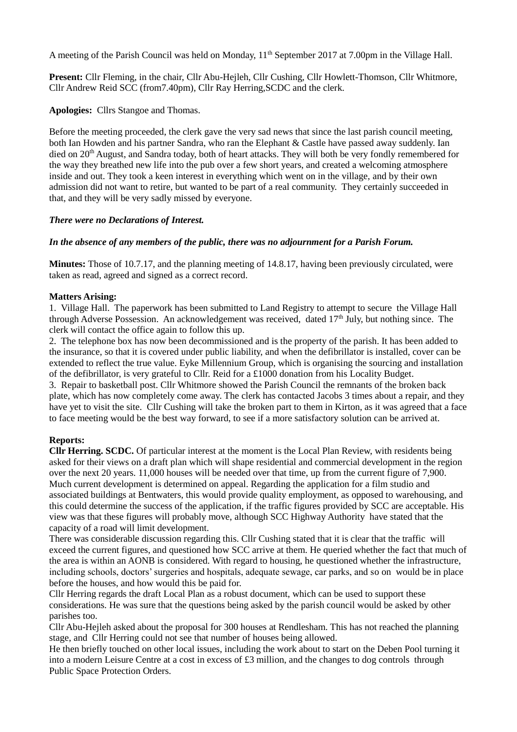A meeting of the Parish Council was held on Monday, 11<sup>th</sup> September 2017 at 7.00pm in the Village Hall.

**Present:** Cllr Fleming, in the chair, Cllr Abu-Hejleh, Cllr Cushing, Cllr Howlett-Thomson, Cllr Whitmore, Cllr Andrew Reid SCC (from7.40pm), Cllr Ray Herring,SCDC and the clerk.

**Apologies:** Cllrs Stangoe and Thomas.

Before the meeting proceeded, the clerk gave the very sad news that since the last parish council meeting, both Ian Howden and his partner Sandra, who ran the Elephant & Castle have passed away suddenly. Ian died on 20<sup>th</sup> August, and Sandra today, both of heart attacks. They will both be very fondly remembered for the way they breathed new life into the pub over a few short years, and created a welcoming atmosphere inside and out. They took a keen interest in everything which went on in the village, and by their own admission did not want to retire, but wanted to be part of a real community. They certainly succeeded in that, and they will be very sadly missed by everyone.

# *There were no Declarations of Interest.*

# *In the absence of any members of the public, there was no adjournment for a Parish Forum.*

**Minutes:** Those of 10.7.17, and the planning meeting of 14.8.17, having been previously circulated, were taken as read, agreed and signed as a correct record.

# **Matters Arising:**

1. Village Hall. The paperwork has been submitted to Land Registry to attempt to secure the Village Hall through Adverse Possession. An acknowledgement was received, dated 17<sup>th</sup> July, but nothing since. The clerk will contact the office again to follow this up.

2. The telephone box has now been decommissioned and is the property of the parish. It has been added to the insurance, so that it is covered under public liability, and when the defibrillator is installed, cover can be extended to reflect the true value. Eyke Millennium Group, which is organising the sourcing and installation of the defibrillator, is very grateful to Cllr. Reid for a £1000 donation from his Locality Budget.

3. Repair to basketball post. Cllr Whitmore showed the Parish Council the remnants of the broken back plate, which has now completely come away. The clerk has contacted Jacobs 3 times about a repair, and they have yet to visit the site. Cllr Cushing will take the broken part to them in Kirton, as it was agreed that a face to face meeting would be the best way forward, to see if a more satisfactory solution can be arrived at.

### **Reports:**

**Cllr Herring. SCDC.** Of particular interest at the moment is the Local Plan Review, with residents being asked for their views on a draft plan which will shape residential and commercial development in the region over the next 20 years. 11,000 houses will be needed over that time, up from the current figure of 7,900. Much current development is determined on appeal. Regarding the application for a film studio and associated buildings at Bentwaters, this would provide quality employment, as opposed to warehousing, and this could determine the success of the application, if the traffic figures provided by SCC are acceptable. His view was that these figures will probably move, although SCC Highway Authority have stated that the capacity of a road will limit development.

There was considerable discussion regarding this. Cllr Cushing stated that it is clear that the traffic will exceed the current figures, and questioned how SCC arrive at them. He queried whether the fact that much of the area is within an AONB is considered. With regard to housing, he questioned whether the infrastructure, including schools, doctors' surgeries and hospitals, adequate sewage, car parks, and so on would be in place before the houses, and how would this be paid for.

Cllr Herring regards the draft Local Plan as a robust document, which can be used to support these considerations. He was sure that the questions being asked by the parish council would be asked by other parishes too.

Cllr Abu-Hejleh asked about the proposal for 300 houses at Rendlesham. This has not reached the planning stage, and Cllr Herring could not see that number of houses being allowed.

He then briefly touched on other local issues, including the work about to start on the Deben Pool turning it into a modern Leisure Centre at a cost in excess of £3 million, and the changes to dog controls through Public Space Protection Orders.